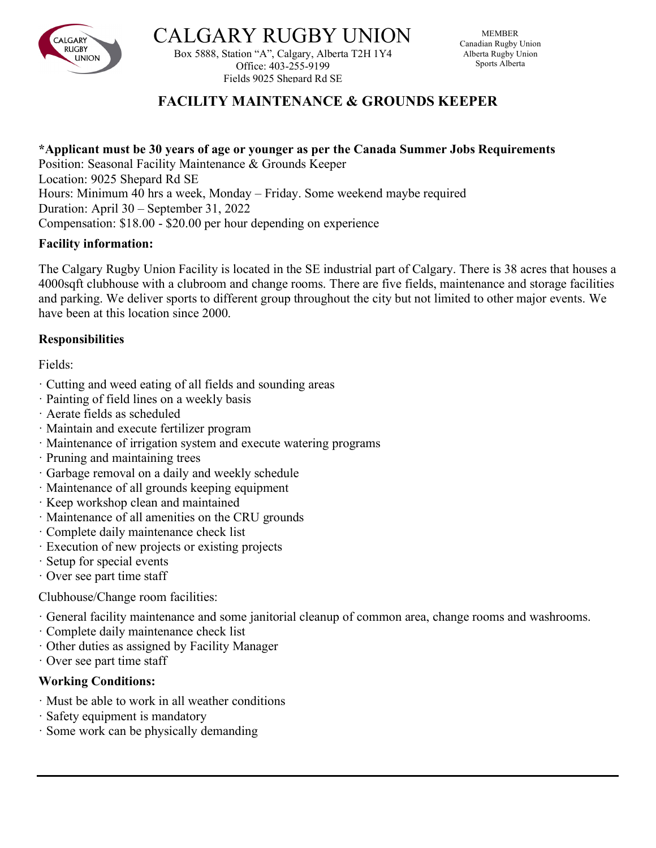

**CALGARY RUGBY UNIO** 

Box 5888, Station "A", Calgary, Alberta T2H 1Y4 Office: 403-255-9199 Fields 9025 Shepard Rd SE

# **FACILITY MAINTENANCE & GROUNDS KEEPER**

#### **\*Applicant must be 30 years of age or younger as per the Canada Summer Jobs Requirements**

Position: Seasonal Facility Maintenance & Grounds Keeper Location: 9025 Shepard Rd SE Hours: Minimum 40 hrs a week, Monday – Friday. Some weekend maybe required Duration: April 30 – September 31, 2022 Compensation: \$18.00 - \$20.00 per hour depending on experience

### **Facility information:**

The Calgary Rugby Union Facility is located in the SE industrial part of Calgary. There is 38 acres that houses a 4000sqft clubhouse with a clubroom and change rooms. There are five fields, maintenance and storage facilities and parking. We deliver sports to different group throughout the city but not limited to other major events. We have been at this location since 2000.

### **Responsibilities**

Fields:

- · Cutting and weed eating of all fields and sounding areas
- · Painting of field lines on a weekly basis
- · Aerate fields as scheduled
- · Maintain and execute fertilizer program
- · Maintenance of irrigation system and execute watering programs
- · Pruning and maintaining trees
- · Garbage removal on a daily and weekly schedule
- · Maintenance of all grounds keeping equipment
- · Keep workshop clean and maintained
- · Maintenance of all amenities on the CRU grounds
- · Complete daily maintenance check list
- · Execution of new projects or existing projects
- · Setup for special events
- · Over see part time staff

Clubhouse/Change room facilities:

- · General facility maintenance and some janitorial cleanup of common area, change rooms and washrooms.
- · Complete daily maintenance check list
- · Other duties as assigned by Facility Manager
- · Over see part time staff

## **Working Conditions:**

- · Must be able to work in all weather conditions
- · Safety equipment is mandatory
- · Some work can be physically demanding